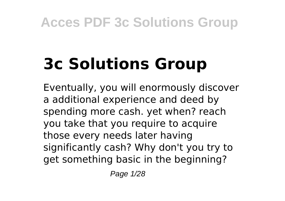# **3c Solutions Group**

Eventually, you will enormously discover a additional experience and deed by spending more cash. yet when? reach you take that you require to acquire those every needs later having significantly cash? Why don't you try to get something basic in the beginning?

Page 1/28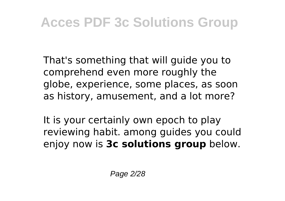That's something that will guide you to comprehend even more roughly the globe, experience, some places, as soon as history, amusement, and a lot more?

It is your certainly own epoch to play reviewing habit. among guides you could enjoy now is **3c solutions group** below.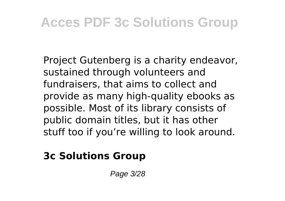Project Gutenberg is a charity endeavor, sustained through volunteers and fundraisers, that aims to collect and provide as many high-quality ebooks as possible. Most of its library consists of public domain titles, but it has other stuff too if you're willing to look around.

#### **3c Solutions Group**

Page 3/28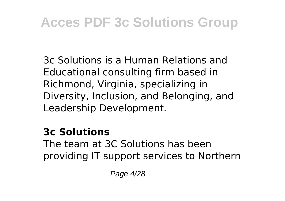3c Solutions is a Human Relations and Educational consulting firm based in Richmond, Virginia, specializing in Diversity, Inclusion, and Belonging, and Leadership Development.

#### **3c Solutions**

The team at 3C Solutions has been providing IT support services to Northern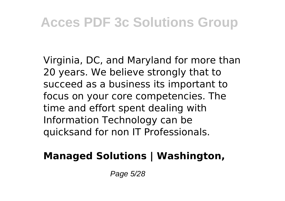Virginia, DC, and Maryland for more than 20 years. We believe strongly that to succeed as a business its important to focus on your core competencies. The time and effort spent dealing with Information Technology can be quicksand for non IT Professionals.

### **Managed Solutions | Washington,**

Page 5/28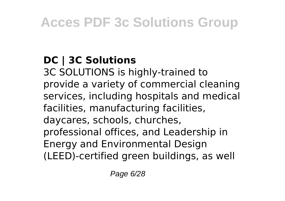### **DC | 3C Solutions**

3C SOLUTIONS is highly-trained to provide a variety of commercial cleaning services, including hospitals and medical facilities, manufacturing facilities, daycares, schools, churches, professional offices, and Leadership in Energy and Environmental Design (LEED)-certified green buildings, as well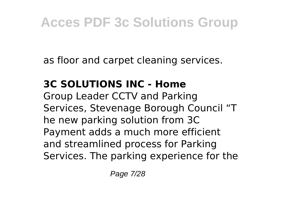as floor and carpet cleaning services.

### **3C SOLUTIONS INC - Home**

Group Leader CCTV and Parking Services, Stevenage Borough Council "T he new parking solution from 3C Payment adds a much more efficient and streamlined process for Parking Services. The parking experience for the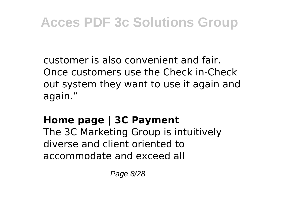customer is also convenient and fair. Once customers use the Check in-Check out system they want to use it again and again."

### **Home page | 3C Payment**

The 3C Marketing Group is intuitively diverse and client oriented to accommodate and exceed all

Page 8/28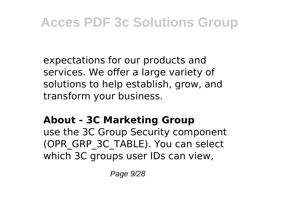expectations for our products and services. We offer a large variety of solutions to help establish, grow, and transform your business.

### **About - 3C Marketing Group**

use the 3C Group Security component (OPR\_GRP\_3C\_TABLE). You can select which 3C groups user IDs can view.

Page  $9/28$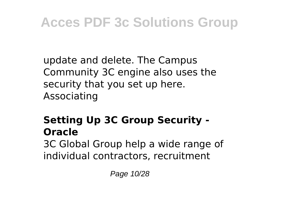update and delete. The Campus Community 3C engine also uses the security that you set up here. Associating

### **Setting Up 3C Group Security - Oracle**

3C Global Group help a wide range of individual contractors, recruitment

Page 10/28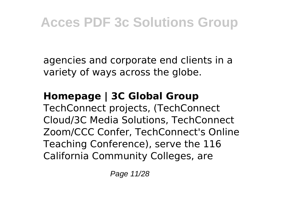agencies and corporate end clients in a variety of ways across the globe.

### **Homepage | 3C Global Group**

TechConnect projects, (TechConnect Cloud/3C Media Solutions, TechConnect Zoom/CCC Confer, TechConnect's Online Teaching Conference), serve the 116 California Community Colleges, are

Page 11/28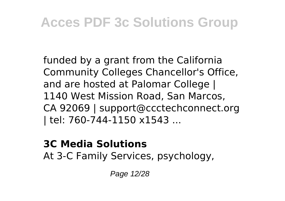funded by a grant from the California Community Colleges Chancellor's Office, and are hosted at Palomar College | 1140 West Mission Road, San Marcos, CA 92069 | support@ccctechconnect.org | tel: 760-744-1150 x1543 ...

#### **3C Media Solutions**

At 3-C Family Services, psychology,

Page 12/28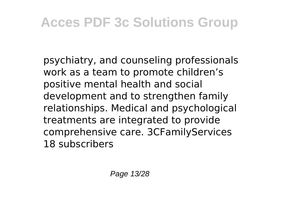psychiatry, and counseling professionals work as a team to promote children's positive mental health and social development and to strengthen family relationships. Medical and psychological treatments are integrated to provide comprehensive care. 3CFamilyServices 18 subscribers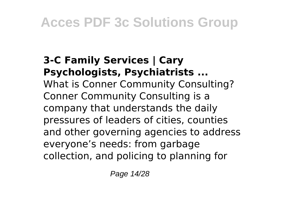#### **3-C Family Services | Cary Psychologists, Psychiatrists ...** What is Conner Community Consulting? Conner Community Consulting is a company that understands the daily pressures of leaders of cities, counties and other governing agencies to address everyone's needs: from garbage collection, and policing to planning for

Page 14/28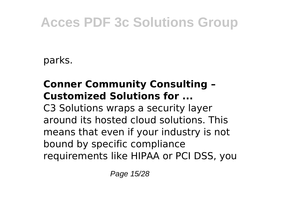parks.

### **Conner Community Consulting – Customized Solutions for ...**

C3 Solutions wraps a security layer around its hosted cloud solutions. This means that even if your industry is not bound by specific compliance requirements like HIPAA or PCI DSS, you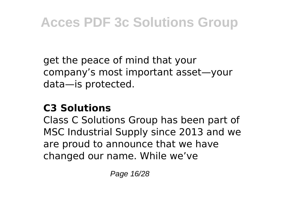get the peace of mind that your company's most important asset—your data—is protected.

### **C3 Solutions**

Class C Solutions Group has been part of MSC Industrial Supply since 2013 and we are proud to announce that we have changed our name. While we've

Page 16/28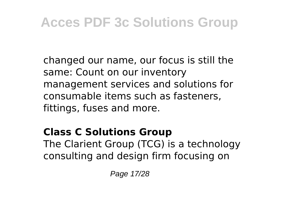changed our name, our focus is still the same: Count on our inventory management services and solutions for consumable items such as fasteners, fittings, fuses and more.

### **Class C Solutions Group** The Clarient Group (TCG) is a technology consulting and design firm focusing on

Page 17/28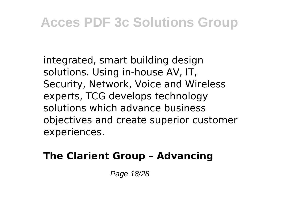integrated, smart building design solutions. Using in-house AV, IT, Security, Network, Voice and Wireless experts, TCG develops technology solutions which advance business objectives and create superior customer experiences.

### **The Clarient Group – Advancing**

Page 18/28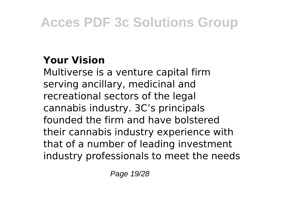### **Your Vision**

Multiverse is a venture capital firm serving ancillary, medicinal and recreational sectors of the legal cannabis industry. 3C's principals founded the firm and have bolstered their cannabis industry experience with that of a number of leading investment industry professionals to meet the needs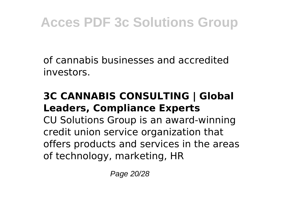of cannabis businesses and accredited investors.

#### **3C CANNABIS CONSULTING | Global Leaders, Compliance Experts**

CU Solutions Group is an award-winning credit union service organization that offers products and services in the areas of technology, marketing, HR

Page 20/28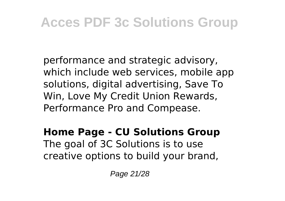performance and strategic advisory, which include web services, mobile app solutions, digital advertising, Save To Win, Love My Credit Union Rewards, Performance Pro and Compease.

### **Home Page - CU Solutions Group** The goal of 3C Solutions is to use

creative options to build your brand,

Page 21/28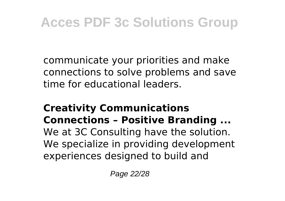communicate your priorities and make connections to solve problems and save time for educational leaders.

#### **Creativity Communications Connections – Positive Branding ...**

We at 3C Consulting have the solution. We specialize in providing development experiences designed to build and

Page 22/28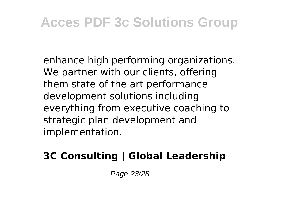enhance high performing organizations. We partner with our clients, offering them state of the art performance development solutions including everything from executive coaching to strategic plan development and implementation.

### **3C Consulting | Global Leadership**

Page 23/28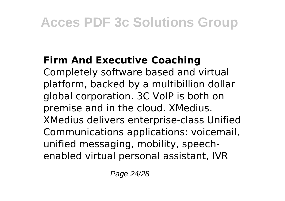### **Firm And Executive Coaching**

Completely software based and virtual platform, backed by a multibillion dollar global corporation. 3C VoIP is both on premise and in the cloud. XMedius. XMedius delivers enterprise-class Unified Communications applications: voicemail, unified messaging, mobility, speechenabled virtual personal assistant, IVR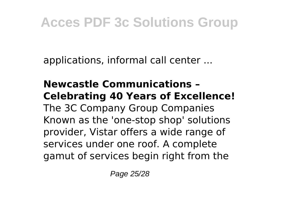applications, informal call center ...

**Newcastle Communications – Celebrating 40 Years of Excellence!** The 3C Company Group Companies Known as the 'one-stop shop' solutions provider, Vistar offers a wide range of services under one roof. A complete gamut of services begin right from the

Page 25/28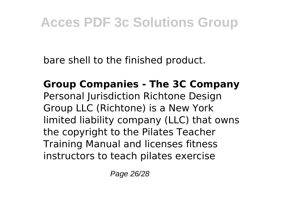bare shell to the finished product.

**Group Companies - The 3C Company** Personal Jurisdiction Richtone Design Group LLC (Richtone) is a New York limited liability company (LLC) that owns the copyright to the Pilates Teacher Training Manual and licenses fitness instructors to teach pilates exercise

Page 26/28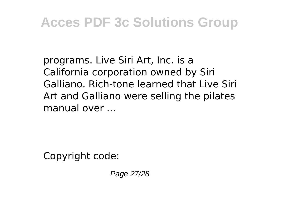programs. Live Siri Art, Inc. is a California corporation owned by Siri Galliano. Rich-tone learned that Live Siri Art and Galliano were selling the pilates manual over ...

Copyright code:

Page 27/28